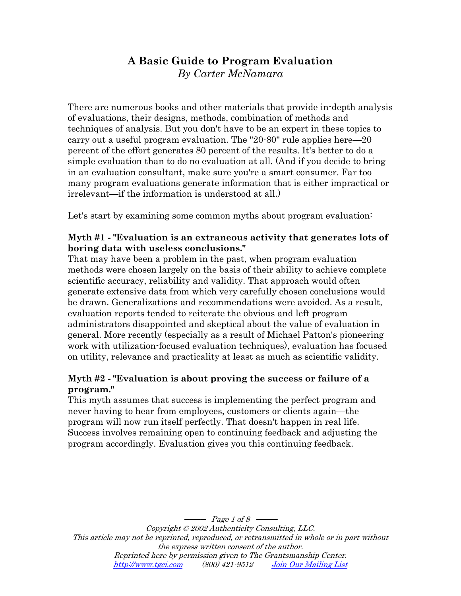# **A Basic Guide to Program Evaluation**  *By Carter McNamara*

There are numerous books and other materials that provide in-depth analysis of evaluations, their designs, methods, combination of methods and techniques of analysis. But you don't have to be an expert in these topics to carry out a useful program evaluation. The "20-80" rule applies here—20 percent of the effort generates 80 percent of the results. It's better to do a simple evaluation than to do no evaluation at all. (And if you decide to bring in an evaluation consultant, make sure you're a smart consumer. Far too many program evaluations generate information that is either impractical or irrelevant—if the information is understood at all.)

Let's start by examining some common myths about program evaluation:

### **Myth #1 - "Evaluation is an extraneous activity that generates lots of boring data with useless conclusions."**

That may have been a problem in the past, when program evaluation methods were chosen largely on the basis of their ability to achieve complete scientific accuracy, reliability and validity. That approach would often generate extensive data from which very carefully chosen conclusions would be drawn. Generalizations and recommendations were avoided. As a result, evaluation reports tended to reiterate the obvious and left program administrators disappointed and skeptical about the value of evaluation in general. More recently (especially as a result of Michael Patton's pioneering work with utilization-focused evaluation techniques), evaluation has focused on utility, relevance and practicality at least as much as scientific validity.

### **Myth #2 - "Evaluation is about proving the success or failure of a program."**

This myth assumes that success is implementing the perfect program and never having to hear from employees, customers or clients again—the program will now run itself perfectly. That doesn't happen in real life. Success involves remaining open to continuing feedback and adjusting the program accordingly. Evaluation gives you this continuing feedback.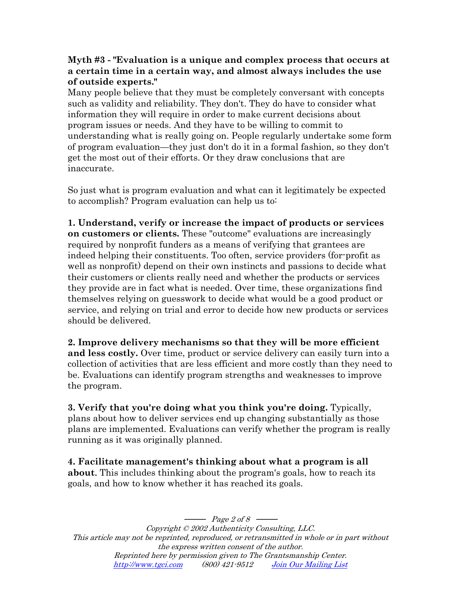#### **Myth #3 - "Evaluation is a unique and complex process that occurs at a certain time in a certain way, and almost always includes the use of outside experts."**

Many people believe that they must be completely conversant with concepts such as validity and reliability. They don't. They do have to consider what information they will require in order to make current decisions about program issues or needs. And they have to be willing to commit to understanding what is really going on. People regularly undertake some form of program evaluation—they just don't do it in a formal fashion, so they don't get the most out of their efforts. Or they draw conclusions that are inaccurate.

So just what is program evaluation and what can it legitimately be expected to accomplish? Program evaluation can help us to:

**1. Understand, verify or increase the impact of products or services on customers or clients.** These "outcome" evaluations are increasingly required by nonprofit funders as a means of verifying that grantees are indeed helping their constituents. Too often, service providers (for-profit as well as nonprofit) depend on their own instincts and passions to decide what their customers or clients really need and whether the products or services they provide are in fact what is needed. Over time, these organizations find themselves relying on guesswork to decide what would be a good product or service, and relying on trial and error to decide how new products or services should be delivered.

**2. Improve delivery mechanisms so that they will be more efficient and less costly.** Over time, product or service delivery can easily turn into a collection of activities that are less efficient and more costly than they need to be. Evaluations can identify program strengths and weaknesses to improve the program.

**3. Verify that you're doing what you think you're doing.** Typically, plans about how to deliver services end up changing substantially as those plans are implemented. Evaluations can verify whether the program is really running as it was originally planned.

**4. Facilitate management's thinking about what a program is all about**. This includes thinking about the program's goals, how to reach its goals, and how to know whether it has reached its goals.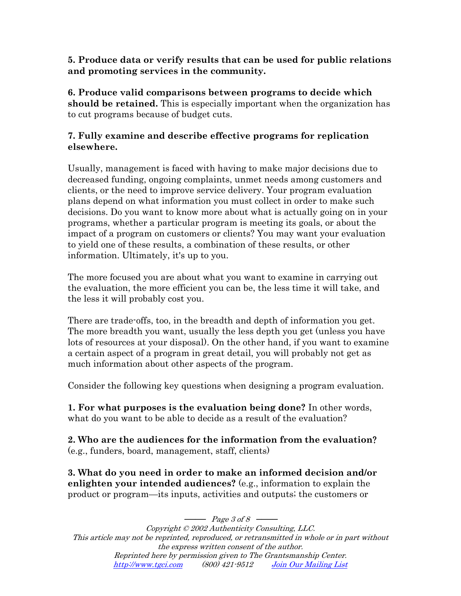#### **5. Produce data or verify results that can be used for public relations and promoting services in the community.**

**6. Produce valid comparisons between programs to decide which should be retained.** This is especially important when the organization has to cut programs because of budget cuts.

### **7. Fully examine and describe effective programs for replication elsewhere.**

Usually, management is faced with having to make major decisions due to decreased funding, ongoing complaints, unmet needs among customers and clients, or the need to improve service delivery. Your program evaluation plans depend on what information you must collect in order to make such decisions. Do you want to know more about what is actually going on in your programs, whether a particular program is meeting its goals, or about the impact of a program on customers or clients? You may want your evaluation to yield one of these results, a combination of these results, or other information. Ultimately, it's up to you.

The more focused you are about what you want to examine in carrying out the evaluation, the more efficient you can be, the less time it will take, and the less it will probably cost you.

There are trade-offs, too, in the breadth and depth of information you get. The more breadth you want, usually the less depth you get (unless you have lots of resources at your disposal). On the other hand, if you want to examine a certain aspect of a program in great detail, you will probably not get as much information about other aspects of the program.

Consider the following key questions when designing a program evaluation.

**1. For what purposes is the evaluation being done?** In other words, what do you want to be able to decide as a result of the evaluation?

**2. Who are the audiences for the information from the evaluation**? (e.g., funders, board, management, staff, clients)

**3. What do you need in order to make an informed decision and/or enlighten your intended audiences?** (e.g., information to explain the product or program—its inputs, activities and outputs; the customers or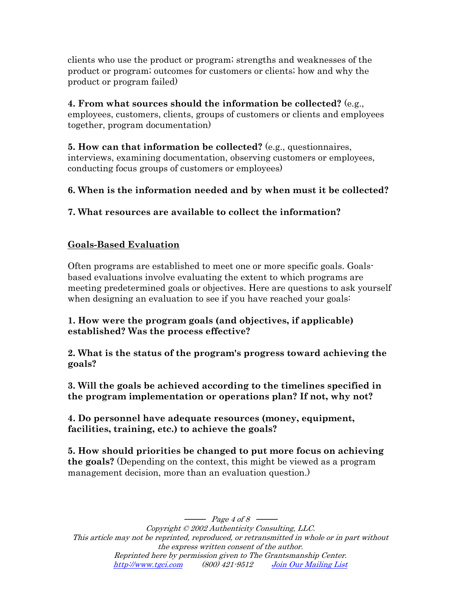clients who use the product or program; strengths and weaknesses of the product or program; outcomes for customers or clients; how and why the product or program failed)

**4. From what sources should the information be collected?** (e.g., employees, customers, clients, groups of customers or clients and employees together, program documentation)

**5. How can that information be collected?** (e.g., questionnaires, interviews, examining documentation, observing customers or employees, conducting focus groups of customers or employees)

# **6. When is the information needed and by when must it be collected?**

# **7. What resources are available to collect the information?**

# **Goals-Based Evaluation**

Often programs are established to meet one or more specific goals. Goalsbased evaluations involve evaluating the extent to which programs are meeting predetermined goals or objectives. Here are questions to ask yourself when designing an evaluation to see if you have reached your goals:

#### **1. How were the program goals (and objectives, if applicable) established? Was the process effective?**

**2. What is the status of the program's progress toward achieving the goals?** 

**3. Will the goals be achieved according to the timelines specified in the program implementation or operations plan? If not, why not?** 

**4. Do personnel have adequate resources (money, equipment, facilities, training, etc.) to achieve the goals?** 

**5. How should priorities be changed to put more focus on achieving the goals?** (Depending on the context, this might be viewed as a program management decision, more than an evaluation question.)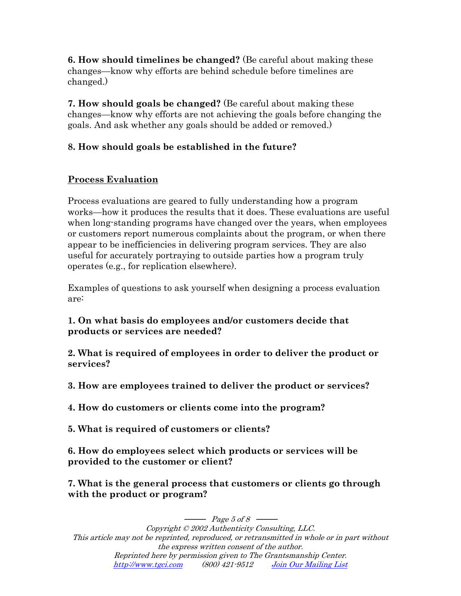**6. How should timelines be changed?** (Be careful about making these changes—know why efforts are behind schedule before timelines are changed.)

**7. How should goals be changed?** (Be careful about making these changes—know why efforts are not achieving the goals before changing the goals. And ask whether any goals should be added or removed.)

# **8. How should goals be established in the future?**

# **Process Evaluation**

Process evaluations are geared to fully understanding how a program works—how it produces the results that it does. These evaluations are useful when long-standing programs have changed over the years, when employees or customers report numerous complaints about the program, or when there appear to be inefficiencies in delivering program services. They are also useful for accurately portraying to outside parties how a program truly operates (e.g., for replication elsewhere).

Examples of questions to ask yourself when designing a process evaluation are:

### **1. On what basis do employees and/or customers decide that products or services are needed?**

**2. What is required of employees in order to deliver the product or services?** 

**3. How are employees trained to deliver the product or services?** 

**4. How do customers or clients come into the program?** 

**5. What is required of customers or clients?** 

**6. How do employees select which products or services will be provided to the customer or client?** 

**7. What is the general process that customers or clients go through with the product or program?**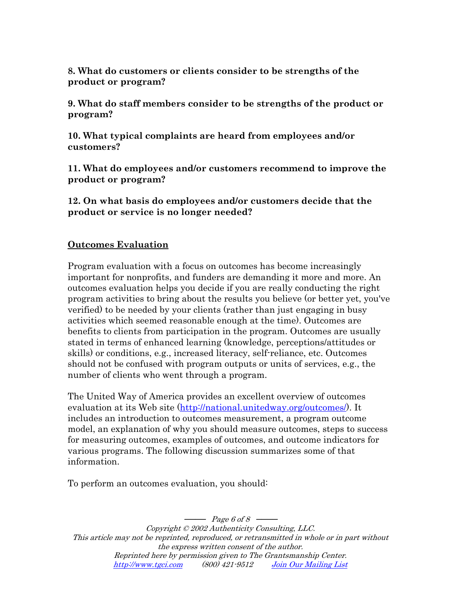**8. What do customers or clients consider to be strengths of the product or program?** 

**9. What do staff members consider to be strengths of the product or program?** 

**10. What typical complaints are heard from employees and/or customers?** 

**11. What do employees and/or customers recommend to improve the product or program?** 

**12. On what basis do employees and/or customers decide that the product or service is no longer needed?** 

#### **Outcomes Evaluation**

Program evaluation with a focus on outcomes has become increasingly important for nonprofits, and funders are demanding it more and more. An outcomes evaluation helps you decide if you are really conducting the right program activities to bring about the results you believe (or better yet, you've verified) to be needed by your clients (rather than just engaging in busy activities which seemed reasonable enough at the time). Outcomes are benefits to clients from participation in the program. Outcomes are usually stated in terms of enhanced learning (knowledge, perceptions/attitudes or skills) or conditions, e.g., increased literacy, self-reliance, etc. Outcomes should not be confused with program outputs or units of services, e.g., the number of clients who went through a program.

The United Way of America provides an excellent overview of outcomes evaluation at its Web site [\(http://national.unitedway.org/outcomes/](http://national.unitedway.org/outcomes/)). It includes an introduction to outcomes measurement, a program outcome model, an explanation of why you should measure outcomes, steps to success for measuring outcomes, examples of outcomes, and outcome indicators for various programs. The following discussion summarizes some of that information.

To perform an outcomes evaluation, you should: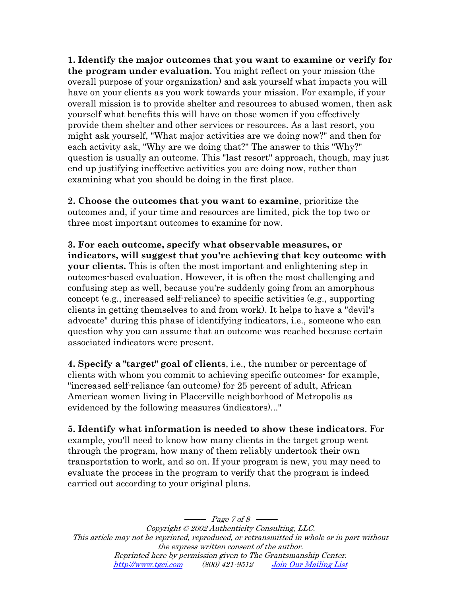**1. Identify the major outcomes that you want to examine or verify for the program under evaluation.** You might reflect on your mission (the overall purpose of your organization) and ask yourself what impacts you will have on your clients as you work towards your mission. For example, if your overall mission is to provide shelter and resources to abused women, then ask yourself what benefits this will have on those women if you effectively provide them shelter and other services or resources. As a last resort, you might ask yourself, "What major activities are we doing now?" and then for each activity ask, "Why are we doing that?" The answer to this "Why?" question is usually an outcome. This "last resort" approach, though, may just end up justifying ineffective activities you are doing now, rather than examining what you should be doing in the first place.

**2. Choose the outcomes that you want to examine**, prioritize the outcomes and, if your time and resources are limited, pick the top two or three most important outcomes to examine for now.

**3. For each outcome, specify what observable measures, or indicators, will suggest that you're achieving that key outcome with your clients.** This is often the most important and enlightening step in outcomes-based evaluation. However, it is often the most challenging and confusing step as well, because you're suddenly going from an amorphous concept (e.g., increased self-reliance) to specific activities (e.g., supporting clients in getting themselves to and from work). It helps to have a "devil's advocate" during this phase of identifying indicators, i.e., someone who can question why you can assume that an outcome was reached because certain associated indicators were present.

**4. Specify a "target" goal of clients**, i.e., the number or percentage of clients with whom you commit to achieving specific outcomes- for example, "increased self-reliance (an outcome) for 25 percent of adult, African American women living in Placerville neighborhood of Metropolis as evidenced by the following measures (indicators)..."

**5. Identify what information is needed to show these indicators**. For example, you'll need to know how many clients in the target group went through the program, how many of them reliably undertook their own transportation to work, and so on. If your program is new, you may need to evaluate the process in the program to verify that the program is indeed carried out according to your original plans.